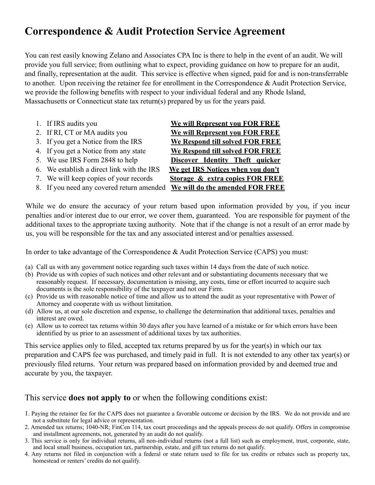## **Correspondence & Audit Protection Service Agreement**

You can rest easily knowing Zelano and Associates CPA Inc is there to help in the event of an audit. We will provide you full service; from outlining what to expect, providing guidance on how to prepare for an audit, and finally, representation at the audit. This service is effective when signed, paid for and is non-transferrable to another. Upon receiving the retainer fee for enrollment in the Correspondence & Audit Protection Service, we provide the following benefits with respect to your individual federal and any Rhode Island, Massachusetts or Connecticut state tax return(s) prepared by us for the years paid.

| 1. If IRS audits you                       | We will Represent you FOR FREE             |
|--------------------------------------------|--------------------------------------------|
| 2. If RI, CT or MA audits you              | <b>We will Represent you FOR FREE</b>      |
| 3. If you get a Notice from the IRS        | We Respond till solved FOR FREE            |
| 4. If you get a Notice from any state      | We Respond till solved FOR FREE            |
| 5. We use IRS Form 2848 to help            | Discover Identity Theft quicker            |
| 6. We establish a direct link with the IRS | We get IRS Notices when you don't          |
| 7. We will keep copies of your records     | <b>Storage &amp; extra copies FOR FREE</b> |
| 8. If you need any covered return amended  | We will do the amended FOR FREE            |
|                                            |                                            |

While we do ensure the accuracy of your return based upon information provided by you, if you incur penalties and/or interest due to our error, we cover them, guaranteed. You are responsible for payment of the additional taxes to the appropriate taxing authority. Note that if the change is not a result of an error made by us, you will be responsible for the tax and any associated interest and/or penalties assessed.

In order to take advantage of the Correspondence & Audit Protection Service (CAPS) you must:

- (a) Call us with any government notice regarding such taxes within 14 days from the date of such notice.
- (b) Provide us with copies of such notices and other relevant and or substantiating documents necessary that we reasonably request. If necessary, documentation is missing, any costs, time or effort incurred to acquire such documents is the sole responsibility of the taxpayer and not our Firm.
- (c) Provide us with reasonable notice of time and allow us to attend the audit as your representative with Power of Attorney and cooperate with us without limitation.
- (d) Allow us, at our sole discretion and expense, to challenge the determination that additional taxes, penalties and interest are owed.
- (e) Allow us to correct tax returns within 30 days after you have learned of a mistake or for which errors have been identified by us prior to an assessment of additional taxes by tax authorities.

This service applies only to filed, accepted tax returns prepared by us for the year(s) in which our tax preparation and CAPS fee was purchased, and timely paid in full. It is not extended to any other tax year(s) or previously filed returns. Your return was prepared based on information provided by and deemed true and accurate by you, the taxpayer.

## This service **does not apply to** or when the following conditions exist:

- 1. Paying the retainer fee for the CAPS does not guarantee a favorable outcome or decision by the IRS. We do not provide and are not a substitute for legal advice or representation.
- 2. Amended tax returns; 1040-NR; FinCen 114, tax court proceedings and the appeals process do not qualify. Offers in compromise and installment agreements, not, generated by an audit do not qualify.
- 3. This service is only for individual returns, all non-individual returns (not a full list) such as employment, trust, corporate, state, and local small business, occupation tax, partnership, estate, and gift tax returns do not qualify.
- 4. Any returns not filed in conjunction with a federal or state return used to file for tax credits or rebates such as property tax, homestead or renters' credits do not qualify.